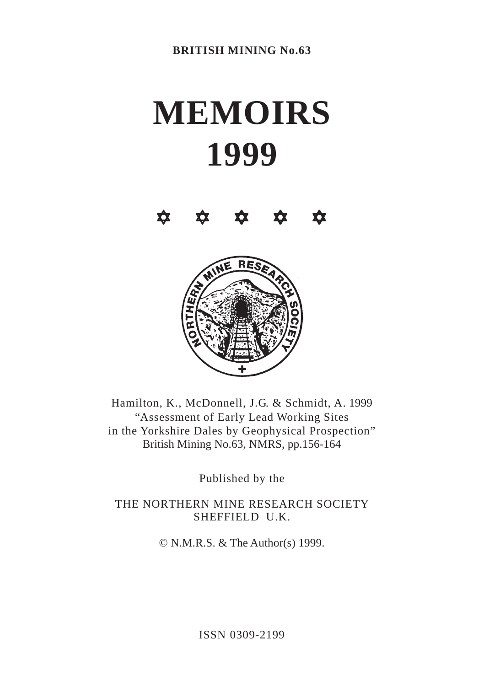# **MEMOIRS 1999**

**\* \* \* \* \*** 



Hamilton, K., McDonnell, J.G. & Schmidt, A. 1999 "Assessment of Early Lead Working Sites in the Yorkshire Dales by Geophysical Prospection" British Mining No.63, NMRS, pp.156-164

Published by the

THE NORTHERN MINE RESEARCH SOCIETY SHEFFIELD U.K.

© N.M.R.S. & The Author(s) 1999.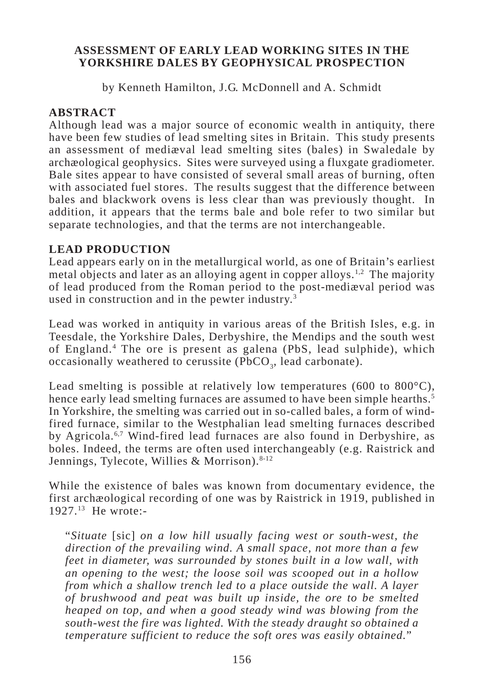# **ASSESSMENT OF EARLY LEAD WORKING SITES IN THE YORKSHIRE DALES BY GEOPHYSICAL PROSPECTION**

by Kenneth Hamilton, J.G. McDonnell and A. Schmidt

# **ABSTRACT**

Although lead was a major source of economic wealth in antiquity, there have been few studies of lead smelting sites in Britain. This study presents an assessment of mediæval lead smelting sites (bales) in Swaledale by archæological geophysics. Sites were surveyed using a fluxgate gradiometer. Bale sites appear to have consisted of several small areas of burning, often with associated fuel stores. The results suggest that the difference between bales and blackwork ovens is less clear than was previously thought. In addition, it appears that the terms bale and bole refer to two similar but separate technologies, and that the terms are not interchangeable.

# **LEAD PRODUCTION**

Lead appears early on in the metallurgical world, as one of Britain's earliest metal objects and later as an alloying agent in copper alloys.<sup>1,2</sup> The majority of lead produced from the Roman period to the post-mediæval period was used in construction and in the pewter industry.<sup>3</sup>

Lead was worked in antiquity in various areas of the British Isles, e.g. in Teesdale, the Yorkshire Dales, Derbyshire, the Mendips and the south west of England.4 The ore is present as galena (PbS, lead sulphide), which occasionally weathered to cerussite ( $PbCO<sub>3</sub>$ , lead carbonate).

Lead smelting is possible at relatively low temperatures (600 to 800 $^{\circ}$ C), hence early lead smelting furnaces are assumed to have been simple hearths.<sup>5</sup> In Yorkshire, the smelting was carried out in so-called bales, a form of windfired furnace, similar to the Westphalian lead smelting furnaces described by Agricola.6,7 Wind-fired lead furnaces are also found in Derbyshire, as boles. Indeed, the terms are often used interchangeably (e.g. Raistrick and Jennings, Tylecote, Willies & Morrison).<sup>8-12</sup>

While the existence of bales was known from documentary evidence, the first archæological recording of one was by Raistrick in 1919, published in 1927.13 He wrote:-

"*Situate* [sic] *on a low hill usually facing west or south-west, the direction of the prevailing wind. A small space, not more than a few feet in diameter, was surrounded by stones built in a low wall, with an opening to the west; the loose soil was scooped out in a hollow from which a shallow trench led to a place outside the wall. A layer of brushwood and peat was built up inside, the ore to be smelted heaped on top, and when a good steady wind was blowing from the south-west the fire was lighted. With the steady draught so obtained a temperature sufficient to reduce the soft ores was easily obtained.*"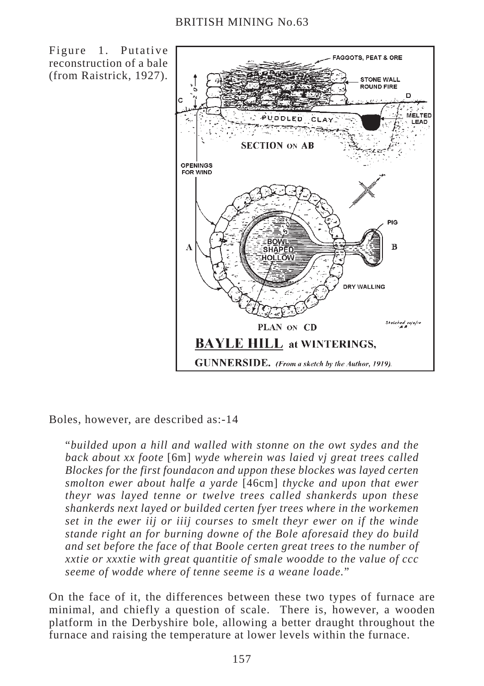Figure 1. Putative reconstruction of a bale (from Raistrick, 1927).



Boles, however, are described as:-14

"*builded upon a hill and walled with stonne on the owt sydes and the back about xx foote* [6m] *wyde wherein was laied vj great trees called Blockes for the first foundacon and uppon these blockes was layed certen smolton ewer about halfe a yarde* [46cm] *thycke and upon that ewer theyr was layed tenne or twelve trees called shankerds upon these shankerds next layed or builded certen fyer trees where in the workemen set in the ewer iij or iiij courses to smelt theyr ewer on if the winde stande right an for burning downe of the Bole aforesaid they do build and set before the face of that Boole certen great trees to the number of xxtie or xxxtie with great quantitie of smale woodde to the value of ccc seeme of wodde where of tenne seeme is a weane loade.*"

On the face of it, the differences between these two types of furnace are minimal, and chiefly a question of scale. There is, however, a wooden platform in the Derbyshire bole, allowing a better draught throughout the furnace and raising the temperature at lower levels within the furnace.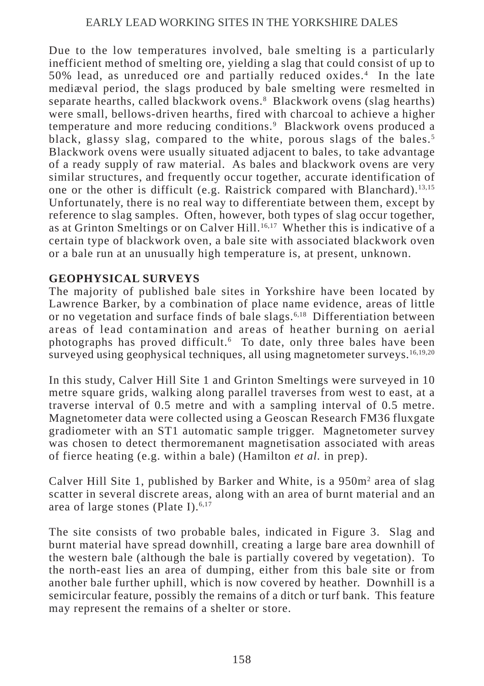# EARLY LEAD WORKING SITES IN THE YORKSHIRE DALES

Due to the low temperatures involved, bale smelting is a particularly inefficient method of smelting ore, yielding a slag that could consist of up to 50% lead, as unreduced ore and partially reduced oxides.4 In the late mediæval period, the slags produced by bale smelting were resmelted in separate hearths, called blackwork ovens.<sup>8</sup> Blackwork ovens (slag hearths) were small, bellows-driven hearths, fired with charcoal to achieve a higher temperature and more reducing conditions.<sup>9</sup> Blackwork ovens produced a black, glassy slag, compared to the white, porous slags of the bales.<sup>5</sup> Blackwork ovens were usually situated adjacent to bales, to take advantage of a ready supply of raw material. As bales and blackwork ovens are very similar structures, and frequently occur together, accurate identification of one or the other is difficult (e.g. Raistrick compared with Blanchard).<sup>13,15</sup> Unfortunately, there is no real way to differentiate between them, except by reference to slag samples. Often, however, both types of slag occur together, as at Grinton Smeltings or on Calver Hill.<sup>16,17</sup> Whether this is indicative of a certain type of blackwork oven, a bale site with associated blackwork oven or a bale run at an unusually high temperature is, at present, unknown.

# **GEOPHYSICAL SURVEYS**

The majority of published bale sites in Yorkshire have been located by Lawrence Barker, by a combination of place name evidence, areas of little or no vegetation and surface finds of bale slags.<sup>6,18</sup> Differentiation between areas of lead contamination and areas of heather burning on aerial photographs has proved difficult.<sup>6</sup> To date, only three bales have been surveyed using geophysical techniques, all using magnetometer surveys.<sup>16,19,20</sup>

In this study, Calver Hill Site 1 and Grinton Smeltings were surveyed in 10 metre square grids, walking along parallel traverses from west to east, at a traverse interval of 0.5 metre and with a sampling interval of 0.5 metre. Magnetometer data were collected using a Geoscan Research FM36 fluxgate gradiometer with an ST1 automatic sample trigger. Magnetometer survey was chosen to detect thermoremanent magnetisation associated with areas of fierce heating (e.g. within a bale) (Hamilton *et al.* in prep).

Calver Hill Site 1, published by Barker and White, is a 950m<sup>2</sup> area of slag scatter in several discrete areas, along with an area of burnt material and an area of large stones (Plate I). $6,17$ 

The site consists of two probable bales, indicated in Figure 3. Slag and burnt material have spread downhill, creating a large bare area downhill of the western bale (although the bale is partially covered by vegetation). To the north-east lies an area of dumping, either from this bale site or from another bale further uphill, which is now covered by heather. Downhill is a semicircular feature, possibly the remains of a ditch or turf bank. This feature may represent the remains of a shelter or store.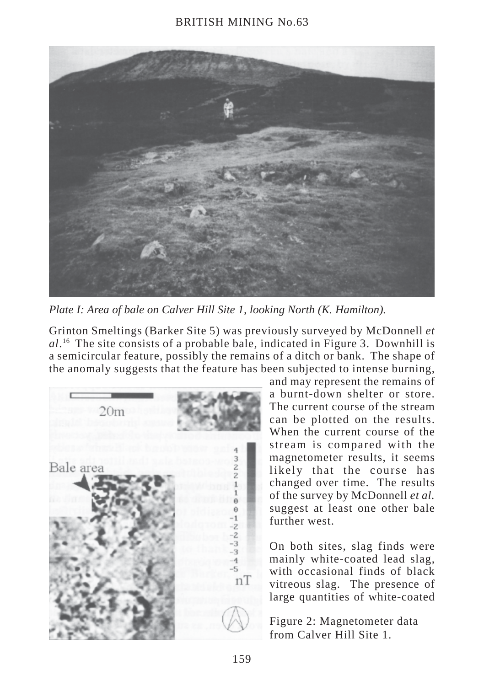#### BRITISH MINING No.63



*Plate I: Area of bale on Calver Hill Site 1, looking North (K. Hamilton).*

Grinton Smeltings (Barker Site 5) was previously surveyed by McDonnell *et al*. 16 The site consists of a probable bale, indicated in Figure 3. Downhill is a semicircular feature, possibly the remains of a ditch or bank. The shape of the anomaly suggests that the feature has been subjected to intense burning,



and may represent the remains of a burnt-down shelter or store. The current course of the stream can be plotted on the results. When the current course of the stream is compared with the magnetometer results, it seems likely that the course has changed over time. The results of the survey by McDonnell *et al.* suggest at least one other bale further west.

On both sites, slag finds were mainly white-coated lead slag, with occasional finds of black vitreous slag. The presence of large quantities of white-coated

Figure 2: Magnetometer data from Calver Hill Site 1.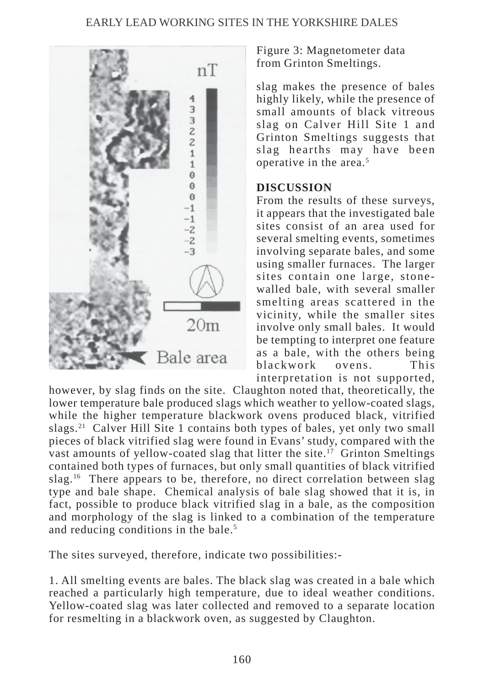# EARLY LEAD WORKING SITES IN THE YORKSHIRE DALES



Figure 3: Magnetometer data from Grinton Smeltings.

slag makes the presence of bales highly likely, while the presence of small amounts of black vitreous slag on Calver Hill Site 1 and Grinton Smeltings suggests that slag hearths may have been operative in the area.5

#### **DISCUSSION**

From the results of these surveys, it appears that the investigated bale sites consist of an area used for several smelting events, sometimes involving separate bales, and some using smaller furnaces. The larger sites contain one large, stonewalled bale, with several smaller smelting areas scattered in the vicinity, while the smaller sites involve only small bales. It would be tempting to interpret one feature as a bale, with the others being blackwork ovens. This interpretation is not supported,

however, by slag finds on the site. Claughton noted that, theoretically, the lower temperature bale produced slags which weather to yellow-coated slags, while the higher temperature blackwork ovens produced black, vitrified slags.21 Calver Hill Site 1 contains both types of bales, yet only two small pieces of black vitrified slag were found in Evans' study, compared with the vast amounts of yellow-coated slag that litter the site.<sup>17</sup> Grinton Smeltings contained both types of furnaces, but only small quantities of black vitrified slag.<sup>16</sup> There appears to be, therefore, no direct correlation between slag type and bale shape. Chemical analysis of bale slag showed that it is, in fact, possible to produce black vitrified slag in a bale, as the composition and morphology of the slag is linked to a combination of the temperature and reducing conditions in the bale.<sup>5</sup>

The sites surveyed, therefore, indicate two possibilities:-

1. All smelting events are bales. The black slag was created in a bale which reached a particularly high temperature, due to ideal weather conditions. Yellow-coated slag was later collected and removed to a separate location for resmelting in a blackwork oven, as suggested by Claughton.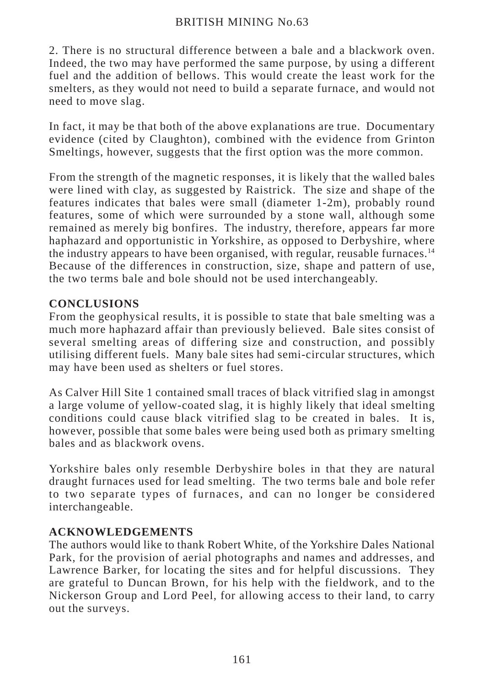# BRITISH MINING No.63

2. There is no structural difference between a bale and a blackwork oven. Indeed, the two may have performed the same purpose, by using a different fuel and the addition of bellows. This would create the least work for the smelters, as they would not need to build a separate furnace, and would not need to move slag.

In fact, it may be that both of the above explanations are true. Documentary evidence (cited by Claughton), combined with the evidence from Grinton Smeltings, however, suggests that the first option was the more common.

From the strength of the magnetic responses, it is likely that the walled bales were lined with clay, as suggested by Raistrick. The size and shape of the features indicates that bales were small (diameter 1-2m), probably round features, some of which were surrounded by a stone wall, although some remained as merely big bonfires. The industry, therefore, appears far more haphazard and opportunistic in Yorkshire, as opposed to Derbyshire, where the industry appears to have been organised, with regular, reusable furnaces.14 Because of the differences in construction, size, shape and pattern of use, the two terms bale and bole should not be used interchangeably.

# **CONCLUSIONS**

From the geophysical results, it is possible to state that bale smelting was a much more haphazard affair than previously believed. Bale sites consist of several smelting areas of differing size and construction, and possibly utilising different fuels. Many bale sites had semi-circular structures, which may have been used as shelters or fuel stores.

As Calver Hill Site 1 contained small traces of black vitrified slag in amongst a large volume of yellow-coated slag, it is highly likely that ideal smelting conditions could cause black vitrified slag to be created in bales. It is, however, possible that some bales were being used both as primary smelting bales and as blackwork ovens.

Yorkshire bales only resemble Derbyshire boles in that they are natural draught furnaces used for lead smelting. The two terms bale and bole refer to two separate types of furnaces, and can no longer be considered interchangeable.

# **ACKNOWLEDGEMENTS**

The authors would like to thank Robert White, of the Yorkshire Dales National Park, for the provision of aerial photographs and names and addresses, and Lawrence Barker, for locating the sites and for helpful discussions. They are grateful to Duncan Brown, for his help with the fieldwork, and to the Nickerson Group and Lord Peel, for allowing access to their land, to carry out the surveys.